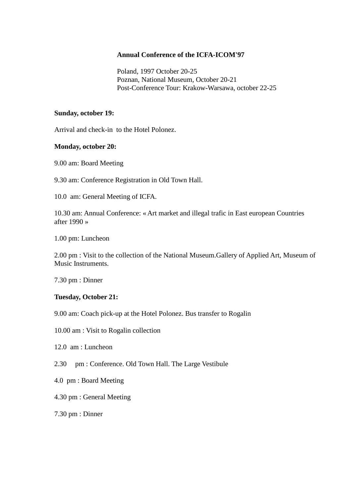#### **Annual Conference of the ICFA-ICOM'97**

 Poland, 1997 October 20-25 Poznan, National Museum, October 20-21 Post-Conference Tour: Krakow-Warsawa, october 22-25

### **Sunday, october 19:**

Arrival and check-in to the Hotel Polonez.

### **Monday, october 20:**

9.00 am: Board Meeting

9.30 am: Conference Registration in Old Town Hall.

10.0 am: General Meeting of ICFA.

10.30 am: Annual Conference: « Art market and illegal trafic in East european Countries after 1990 »

1.00 pm: Luncheon

2.00 pm : Visit to the collection of the National Museum.Gallery of Applied Art, Museum of Music Instruments.

7.30 pm : Dinner

### **Tuesday, October 21:**

9.00 am: Coach pick-up at the Hotel Polonez. Bus transfer to Rogalin

10.00 am : Visit to Rogalin collection

12.0 am : Luncheon

2.30 pm : Conference. Old Town Hall. The Large Vestibule

4.0 pm : Board Meeting

4.30 pm : General Meeting

7.30 pm : Dinner